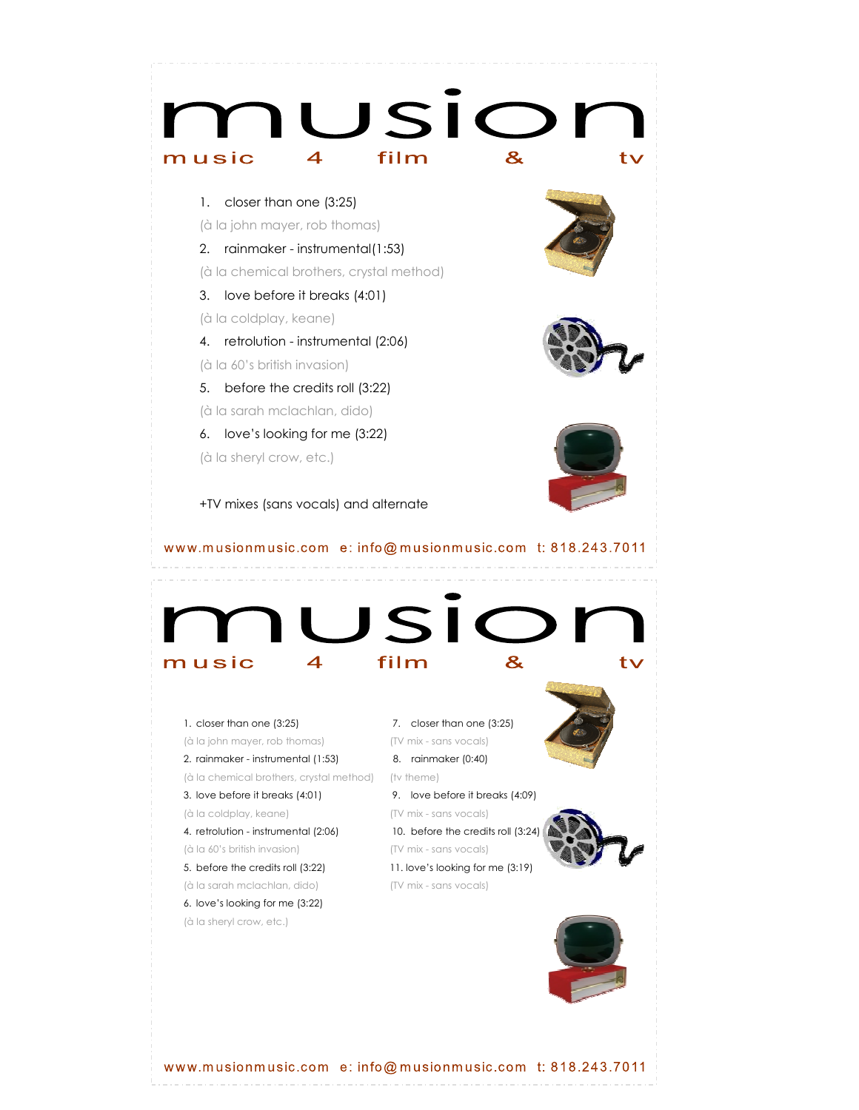

www.musionmusic.com e: info@musionmusic.com t: 818.243.7011